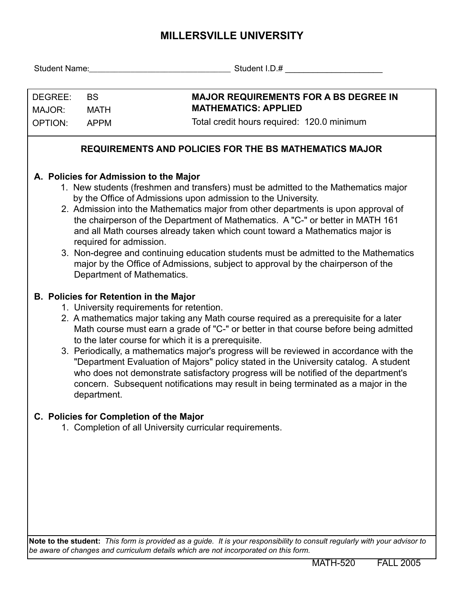## **MILLERSVILLE UNIVERSITY**

| DEGREE:<br>MAJOR:                                                                                                                                                                                                                                                                                                                                                                                                                                                                                                                                                                                                                                                                         | <b>BS</b><br><b>MATH</b>                                                                                                                                                                                                                                                                                                                                                                                                                                                                                                                                                                                                                                                                                         | <b>MAJOR REQUIREMENTS FOR A BS DEGREE IN</b><br><b>MATHEMATICS: APPLIED</b>                                                |  |  |  |  |  |  |  |
|-------------------------------------------------------------------------------------------------------------------------------------------------------------------------------------------------------------------------------------------------------------------------------------------------------------------------------------------------------------------------------------------------------------------------------------------------------------------------------------------------------------------------------------------------------------------------------------------------------------------------------------------------------------------------------------------|------------------------------------------------------------------------------------------------------------------------------------------------------------------------------------------------------------------------------------------------------------------------------------------------------------------------------------------------------------------------------------------------------------------------------------------------------------------------------------------------------------------------------------------------------------------------------------------------------------------------------------------------------------------------------------------------------------------|----------------------------------------------------------------------------------------------------------------------------|--|--|--|--|--|--|--|
| OPTION:                                                                                                                                                                                                                                                                                                                                                                                                                                                                                                                                                                                                                                                                                   | <b>APPM</b>                                                                                                                                                                                                                                                                                                                                                                                                                                                                                                                                                                                                                                                                                                      | Total credit hours required: 120.0 minimum                                                                                 |  |  |  |  |  |  |  |
|                                                                                                                                                                                                                                                                                                                                                                                                                                                                                                                                                                                                                                                                                           |                                                                                                                                                                                                                                                                                                                                                                                                                                                                                                                                                                                                                                                                                                                  | REQUIREMENTS AND POLICIES FOR THE BS MATHEMATICS MAJOR                                                                     |  |  |  |  |  |  |  |
| A. Policies for Admission to the Major<br>1. New students (freshmen and transfers) must be admitted to the Mathematics major<br>by the Office of Admissions upon admission to the University.<br>2. Admission into the Mathematics major from other departments is upon approval of<br>the chairperson of the Department of Mathematics. A "C-" or better in MATH 161<br>and all Math courses already taken which count toward a Mathematics major is<br>required for admission.<br>3. Non-degree and continuing education students must be admitted to the Mathematics<br>major by the Office of Admissions, subject to approval by the chairperson of the<br>Department of Mathematics. |                                                                                                                                                                                                                                                                                                                                                                                                                                                                                                                                                                                                                                                                                                                  |                                                                                                                            |  |  |  |  |  |  |  |
|                                                                                                                                                                                                                                                                                                                                                                                                                                                                                                                                                                                                                                                                                           | <b>B. Policies for Retention in the Major</b><br>1. University requirements for retention.<br>2. A mathematics major taking any Math course required as a prerequisite for a later<br>Math course must earn a grade of "C-" or better in that course before being admitted<br>to the later course for which it is a prerequisite.<br>3. Periodically, a mathematics major's progress will be reviewed in accordance with the<br>"Department Evaluation of Majors" policy stated in the University catalog. A student<br>who does not demonstrate satisfactory progress will be notified of the department's<br>concern. Subsequent notifications may result in being terminated as a major in the<br>department. |                                                                                                                            |  |  |  |  |  |  |  |
|                                                                                                                                                                                                                                                                                                                                                                                                                                                                                                                                                                                                                                                                                           |                                                                                                                                                                                                                                                                                                                                                                                                                                                                                                                                                                                                                                                                                                                  | C. Policies for Completion of the Major<br>1. Completion of all University curricular requirements.                        |  |  |  |  |  |  |  |
|                                                                                                                                                                                                                                                                                                                                                                                                                                                                                                                                                                                                                                                                                           |                                                                                                                                                                                                                                                                                                                                                                                                                                                                                                                                                                                                                                                                                                                  | Note to the student: This form is provided as a guide. It is your responsibility to consult regularly with your advisor to |  |  |  |  |  |  |  |

*be aware of changes and curriculum details which are not incorporated on this form.*

MATH-520 FALL 2005